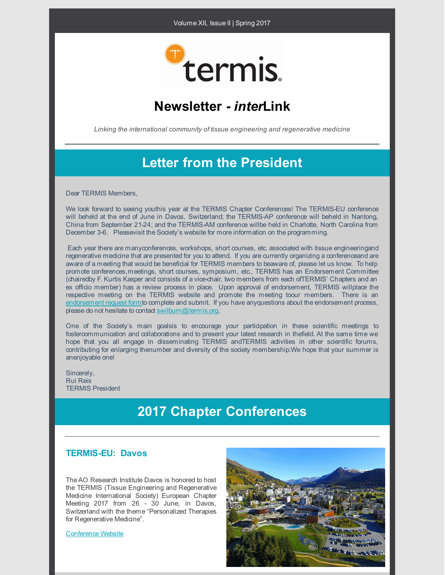#### Volume XII, Issue II | Spring 2017



### **Newsletter -** *inter***Link**

*Linking the international community of tissue engineering and regenerative medicine*

### **Letter from the President**

Dear TERMIS Members,

We look forward to seeing youthis year at the TERMIS Chapter Conferences! The TERMIS-EU conference will beheld at the end of June in Davos, Switzerland; the TERMIS-AP conference will beheld in Nantong, China from September 21-24; and the TERMIS-AM conference willbe held in Charlotte, North Carolina from December 3-6. Pleasevisit the Society's website for more information on the programming.

Each year there are manyconferences, workshops, short courses, etc. associated with tissue engineeringand regenerative medicine that are presented for you to attend. If you are currently organizing a conferenceand are aware of a meeting that would be beneficial for TERMIS members to beaware of, please let us know. To help promote conferences,meetings, short courses, symposium, etc., TERMIS has an Endorsement Committee (chairedby F. Kurtis Kasper and consists of a vice-chair, two members from each ofTERMIS' Chapters and an ex officio member) has a review process in place. Upon approval of endorsement, TERMIS willplace the respective meeting on the TERMIS website and promote the meeting toour members. There is an [endorsement](https://www.termis.org/meetings_upcoming.php) request formto complete and submit. If you have anyquestions about the endorsement process, please do not hesitate to contact [swilburn@termis.org](mailto:swilburn@termis.org).

One of the Society's main goalsis to encourage your participation in these scientific meetings to fostercommunication and collaborations and to present your latest research in thefield. At the same time we hope that you all engage in disseminating TERMIS andTERMIS activities in other scientific forums, contributing for enlarging thenumber and diversity of the society membership.We hope that your summer is anenjoyable one!

Sincerely, Rui Reis TERMIS President

### **2017 Chapter Conferences**

### **TERMIS-EU: Davos**

TheAO Research Institute Davos is honored to host the TERMIS (Tissue Engineering and Regenerative Medicine International Society) European Chapter Meeting 2017 from 26 - 30 June, in Davos, Switzerland with the theme "Personalized Therapies for Regenerative Medicine".

[Conference](https://www.termis.org/eu2017/index.php) Website

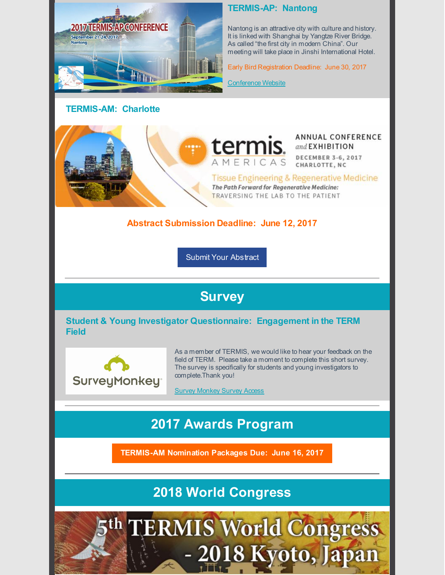

### **TERMIS-AM: Charlotte**

### **TERMIS-AP: Nantong**

Nantong is an attractive city with culture and history. It is linked with Shanghai by Yangtze River Bridge. As called "the first city in modern China". Our meeting will take place in Jinshi International Hotel.

Early Bird Registration Deadline: June 30, 2017

[Conference](https://www.termis.org/ap2017/index.php) Website

termis.

AMERICAS

#### ANNUAL CONFERENCE and EXHIBITION **DECEMBER 3-6, 2017**

CHARLOTTE, NC

Tissue Engineering & Regenerative Medicine The Path Forward for Regenerative Medicine: TRAVERSING THE LAB TO THE PATIENT

### **Abstract Submission Deadline: June 12, 2017**

Submit Your [Abstract](https://www.termis.org/am2017/abstracts.php)

### **Survey**

**Student & Young Investigator Questionnaire: Engagement in the TERM Field**



As a member of TERMIS, we would like to hear your feedback on the field of TERM. Please take a moment to complete this short survey. The survey is specifically for students and young investigators to complete.Thank you!

Survey [Monkey](https://www.surveymonkey.com/r/TKBN8WT) Survey Access

# **2017 Awards Program**

**[TERMIS-AM](https://www.termis.org/chapters_am_awards.php) Nomination Packages Due: June 16, 2017**

**2018 World Congress**

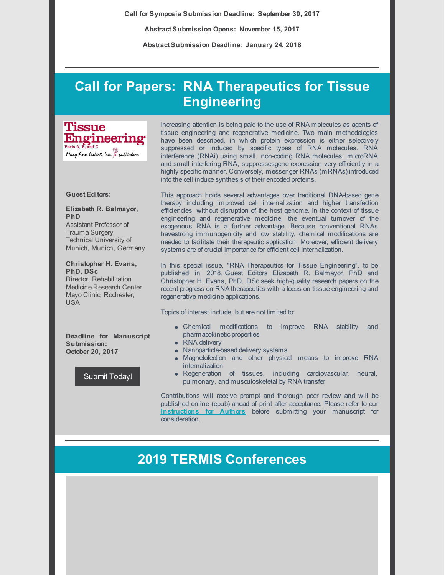**Call for Symposia Submission Deadline: September 30, 2017**

**Abstract Submission Opens: November 15, 2017**

**Abstract Submission Deadline: January 24, 2018**

## **Call for Papers: RNA Therapeutics for Tissue Engineering**

**Tissue** Engineering Parts A, B, and C Mary Ann Liebert, Inc. & publishers

#### **Guest Editors:**

**Elizabeth R. Balmayor, PhD** Assistant Professor of Trauma Surgery Technical University of Munich, Munich, Germany

**Christopher H. Evans, PhD, DSc** Director, Rehabilitation Medicine Research Center Mayo Clinic, Rochester, USA

**Deadline for Manuscript Submission: October 20, 2017**

[Submit](http://www.liebertpub.com/cfp/rna-therapeutics-for-tissue-engineering/66/) Today!

Increasing attention is being paid to the use of RNA molecules as agents of tissue engineering and regenerative medicine. Two main methodologies have been described, in which protein expression is either selectively suppressed or induced by specific types of RNA molecules. RNA interference (RNAi) using small, non-coding RNA molecules, microRNA and small interfering RNA, suppressesgene expression very efficiently in a highly specific manner. Conversely, messenger RNAs (mRNAs) introduced into the cell induce synthesis of their encoded proteins.

This approach holds several advantages over traditional DNA-based gene therapy including improved cell internalization and higher transfection efficiencies, without disruption of the host genome. In the context of tissue engineering and regenerative medicine, the eventual turnover of the exogenous RNA is a further advantage. Because conventional RNAs havestrong immunogenicity and low stability, chemical modifications are needed to facilitate their therapeutic application. Moreover, efficient delivery systems are of crucial importance for efficient cell internalization.

In this special issue, "RNA Therapeutics for Tissue Engineering", to be published in 2018, Guest Editors Elizabeth R. Balmayor, PhD and Christopher H. Evans, PhD, DSc seek high-quality research papers on the recent progress on RNA therapeutics with a focus on tissue engineering and regenerative medicine applications.

Topics of interest include, but are not limited to:

- Chemical modifications to improve RNA stability and pharmacokinetic properties
- RNA delivery
- Nanoparticle-based delivery systems
- Magnetofection and other physical means to improve RNA internalization
- Regeneration of tissues, including cardiovascular, neural, pulmonary, and musculoskeletal by RNA transfer

Contributions will receive prompt and thorough peer review and will be published online (epub) ahead of print after acceptance. Please refer to our **[Instructions](http://www.liebertpub.com/forauthors/tissue-engineering-parts-a-b-and-c/595/) for Authors** before submitting your manuscript for consideration.

### **2019 TERMIS Conferences**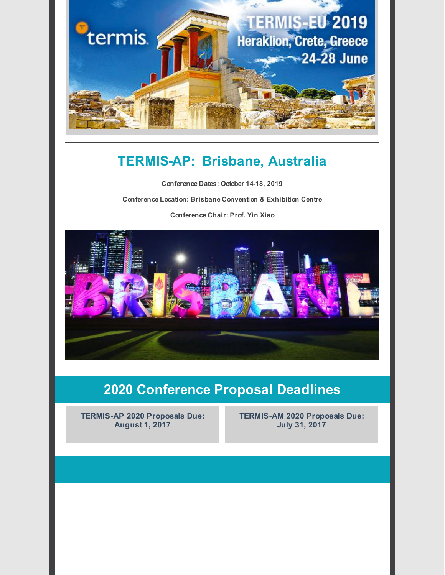

## **TERMIS-AP: Brisbane, Australia**

**Conference Dates: October 14-18, 2019 Conference Location: Brisbane Convention & Exhibition Centre Conference Chair: Prof. Yin Xiao**



# **2020 Conference Proposal Deadlines**

**TERMIS-AP 2020 Proposals Due: August 1, 2017**

**TERMIS-AM 2020 Proposals Due: July 31, 2017**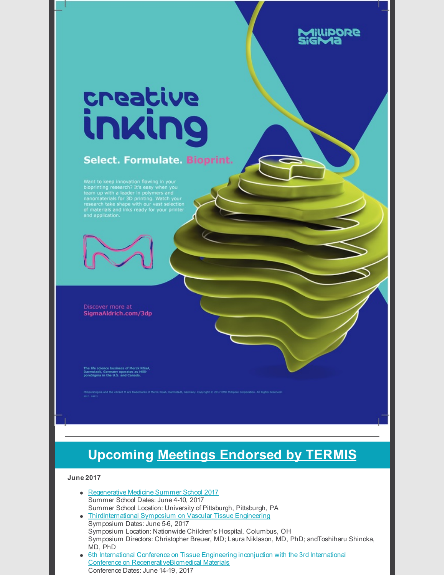# <u>creațive</u> inking

### **Select. Formulate. Bioprint.**

Want to keep innovation flowing in your<br>bioprinting research? It's easy when you<br>team up with a leader in polymers and<br>nanomaterials for 3D printing. Watch your<br>research take shape with our vast selection<br>of materials and



Discover more at SigmaAldrich.com/3dp

e life science business of Merck KGaA<br>Irmstadt, Germany operates as Milli-<br>IreSigma in the U.S. and Canada.

cant M are trademarks of Merck KSaA. Cannotadt, Germany, Copyright (f) 2017 EMD Millionne Corporation. All Bights Beserve

# **Upcoming Meetings [Endorsed](https://www.termis.org/meetings_upcoming.php) by TERMIS**

<u>SAQQiJ</u>

#### **June 2017**

- [Regenerative](http://www.mirm.pitt.edu/professional-development/summer-school/) Medicine Summer School 2017 Summer School Dates: June 4-10, 2017 Summer School Location: University of Pittsburgh, Pittsburgh, PA
- [ThirdInternational](http://isvte2017.nationwidechildrens.org/) Symposium on Vascular Tissue Engineering Symposium Dates: June 5-6, 2017 Symposium Location: Nationwide Children's Hospital, Columbus, OH Symposium Directors: Christopher Breuer, MD; Laura Niklason, MD, PhD; andToshiharu Shinoka, MD, PhD
- **6th International Conference on Tissue Engineering inconjuction with the 3rd International** Conference on [RegenerativeBiomedical](http://aegeanconferences.org/src/App/conferences/view/117) Materials Conference Dates: June 14-19, 2017